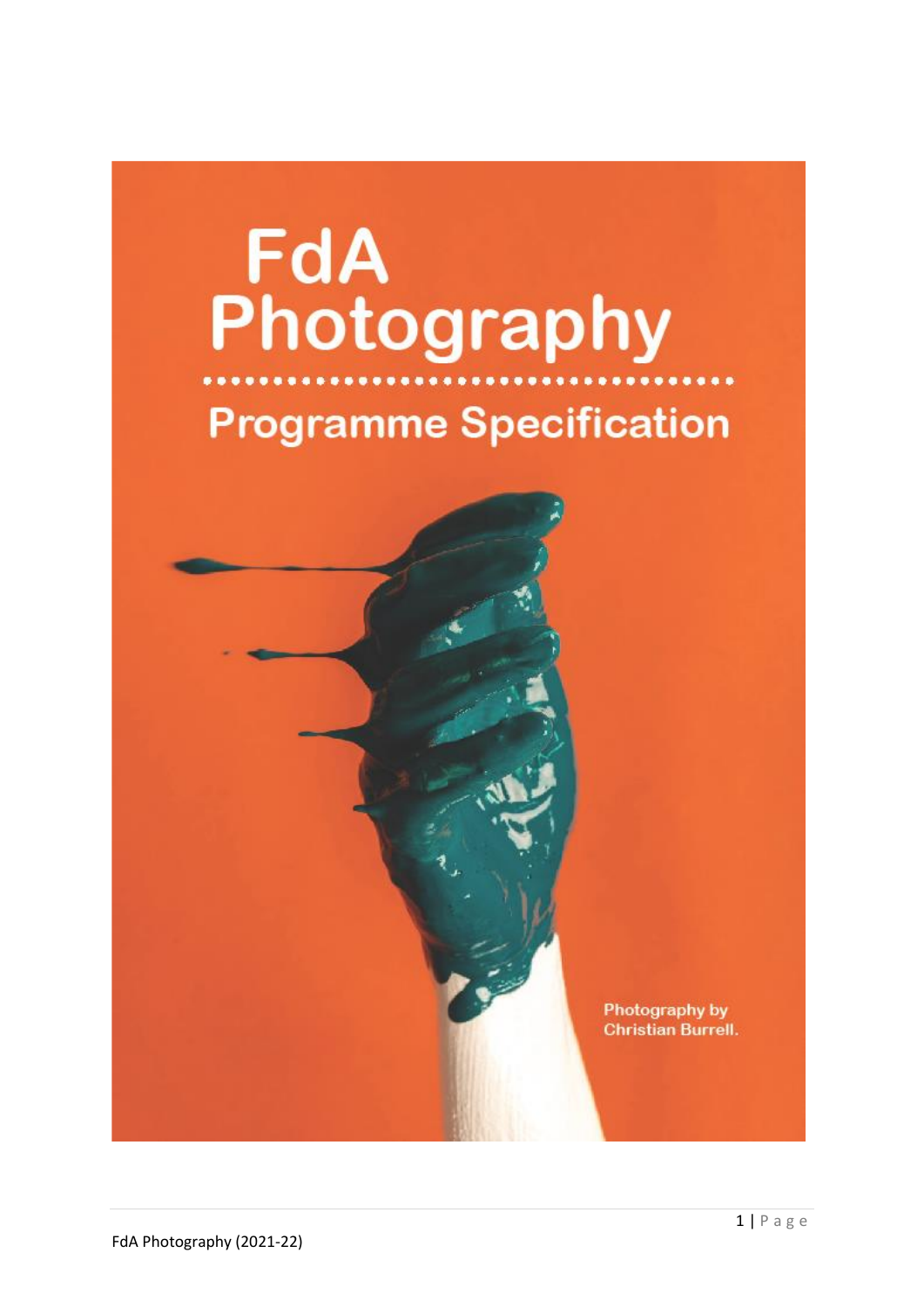# **FdA**<br>Photography **Programme Specification**

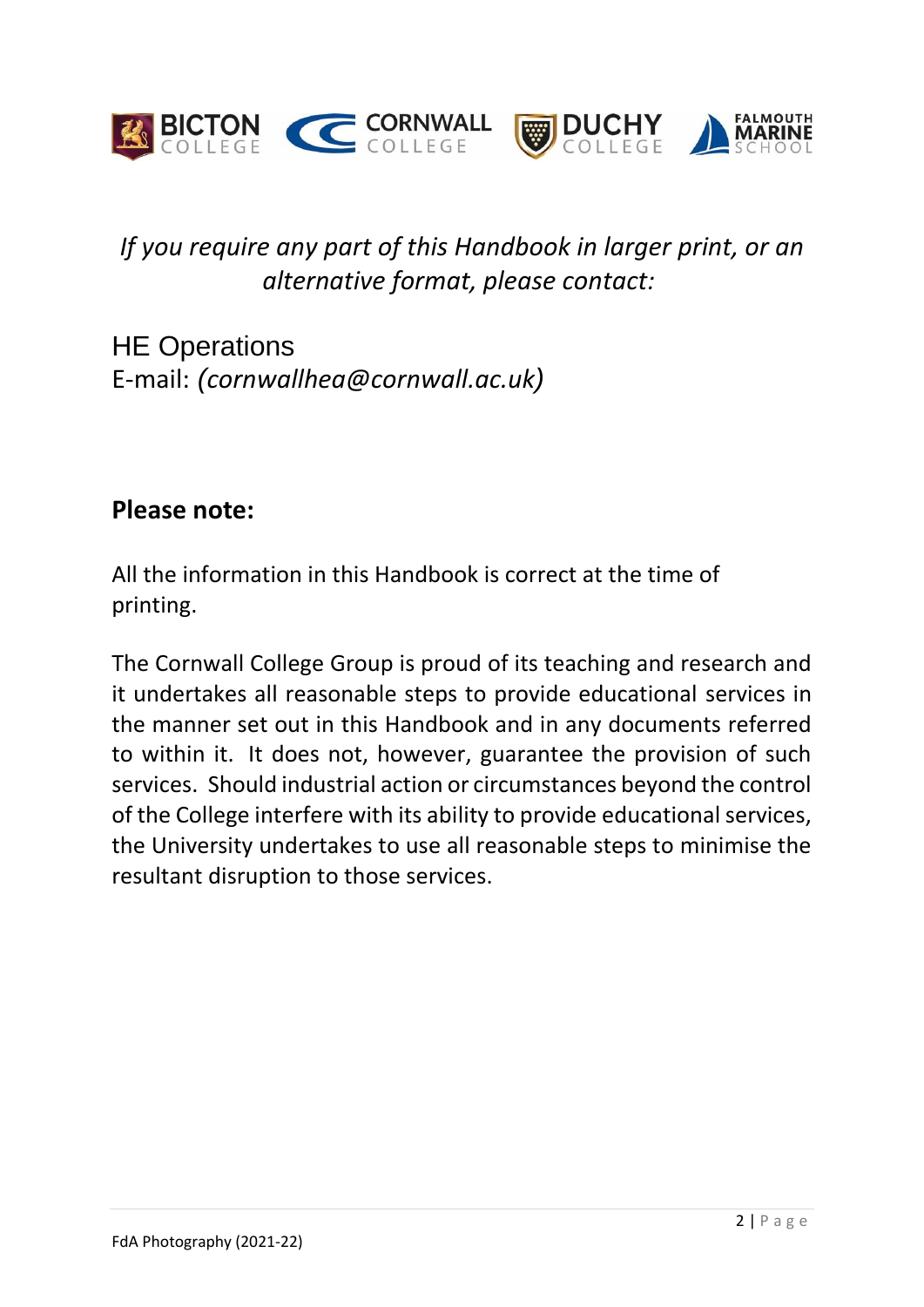

# *If you require any part of this Handbook in larger print, or an alternative format, please contact:*

HE Operations E-mail: *(cornwallhea@cornwall.ac.uk)*

# **Please note:**

All the information in this Handbook is correct at the time of printing.

The Cornwall College Group is proud of its teaching and research and it undertakes all reasonable steps to provide educational services in the manner set out in this Handbook and in any documents referred to within it. It does not, however, guarantee the provision of such services. Should industrial action or circumstances beyond the control of the College interfere with its ability to provide educational services, the University undertakes to use all reasonable steps to minimise the resultant disruption to those services.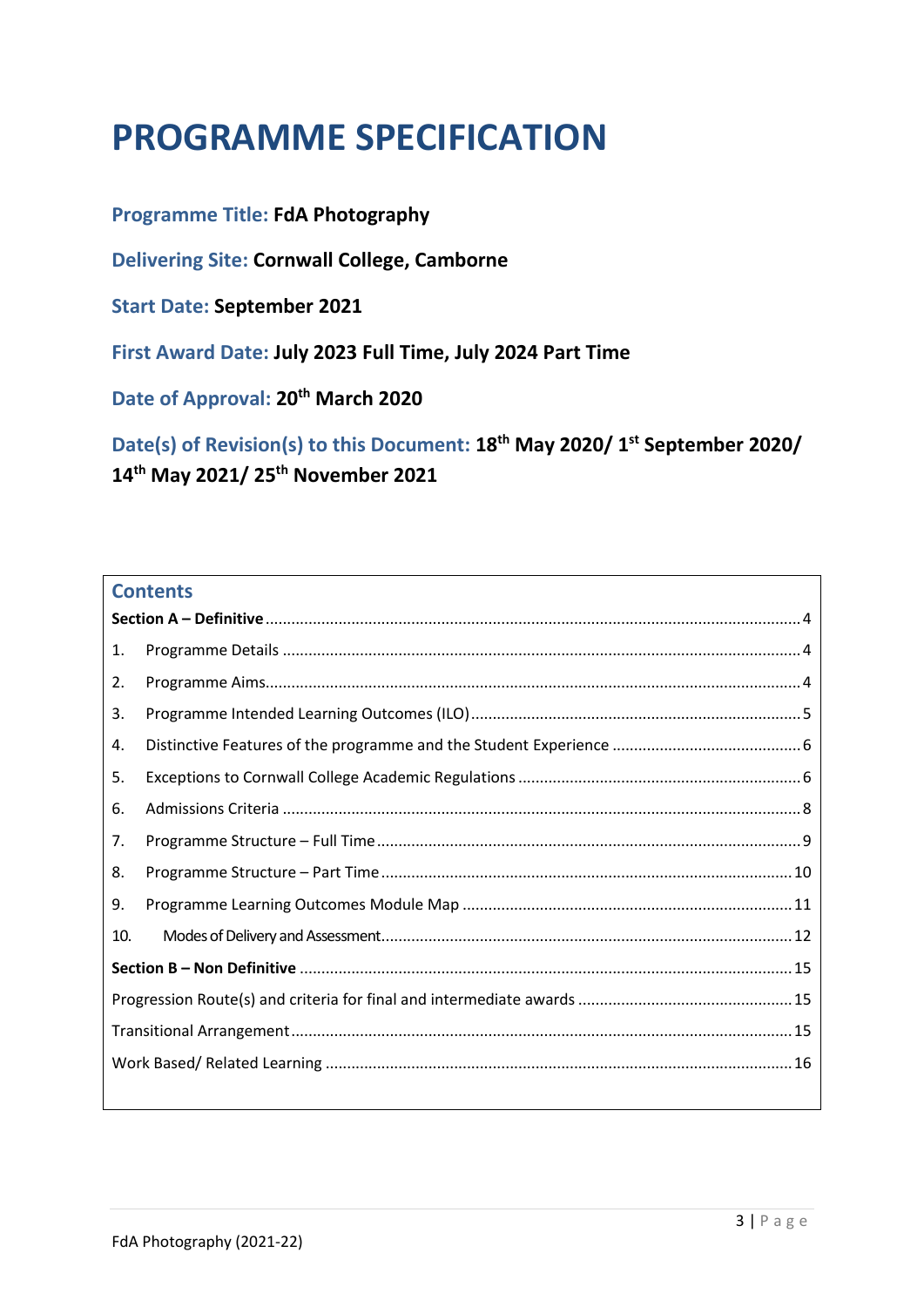# **PROGRAMME SPECIFICATION**

#### **Programme Title: FdA Photography**

**Delivering Site: Cornwall College, Camborne**

**Start Date: September 2021**

**First Award Date: July 2023 Full Time, July 2024 Part Time**

**Date of Approval: 20th March 2020**

**Date(s) of Revision(s) to this Document: 18th May 2020/ 1 st September 2020/ 14th May 2021/ 25th November 2021**

#### **Contents**

| 1.  |  |
|-----|--|
| 2.  |  |
| 3.  |  |
| 4.  |  |
| 5.  |  |
| 6.  |  |
| 7.  |  |
| 8.  |  |
| 9.  |  |
| 10. |  |
|     |  |
|     |  |
|     |  |
|     |  |
|     |  |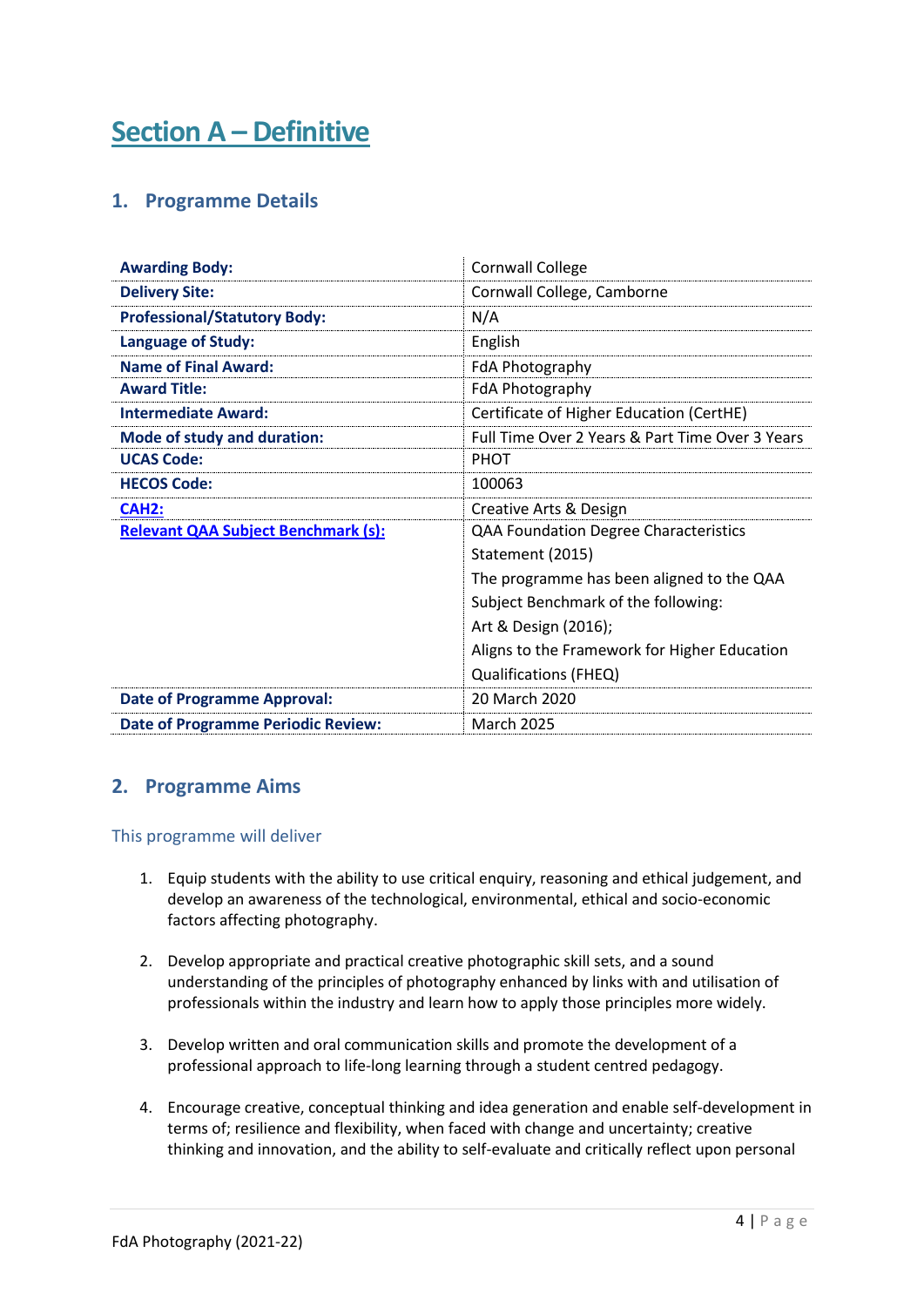# <span id="page-3-1"></span><span id="page-3-0"></span>**Section A – Definitive**

#### **1. Programme Details**

| <b>Awarding Body:</b>                      | <b>Cornwall College</b>                         |
|--------------------------------------------|-------------------------------------------------|
| <b>Delivery Site:</b>                      | Cornwall College, Camborne                      |
| <b>Professional/Statutory Body:</b>        | N/A                                             |
| <b>Language of Study:</b>                  | English                                         |
| <b>Name of Final Award:</b>                | FdA Photography                                 |
| <b>Award Title:</b>                        | FdA Photography                                 |
| <b>Intermediate Award:</b>                 | Certificate of Higher Education (CertHE)        |
| Mode of study and duration:                | Full Time Over 2 Years & Part Time Over 3 Years |
| <b>UCAS Code:</b>                          | <b>PHOT</b>                                     |
| <b>HECOS Code:</b>                         | 100063                                          |
| CAH <sub>2</sub> :                         | Creative Arts & Design                          |
| <b>Relevant QAA Subject Benchmark (s):</b> | <b>QAA Foundation Degree Characteristics</b>    |
|                                            | Statement (2015)                                |
|                                            | The programme has been aligned to the QAA       |
|                                            | Subject Benchmark of the following:             |
|                                            | Art & Design (2016);                            |
|                                            | Aligns to the Framework for Higher Education    |
|                                            | Qualifications (FHEQ)                           |
| <b>Date of Programme Approval:</b>         | 20 March 2020                                   |
| <b>Date of Programme Periodic Review:</b>  | <b>March 2025</b>                               |

#### <span id="page-3-2"></span>**2. Programme Aims**

#### This programme will deliver

- 1. Equip students with the ability to use critical enquiry, reasoning and ethical judgement, and develop an awareness of the technological, environmental, ethical and socio-economic factors affecting photography.
- 2. Develop appropriate and practical creative photographic skill sets, and a sound understanding of the principles of photography enhanced by links with and utilisation of professionals within the industry and learn how to apply those principles more widely.
- 3. Develop written and oral communication skills and promote the development of a professional approach to life-long learning through a student centred pedagogy.
- 4. Encourage creative, conceptual thinking and idea generation and enable self-development in terms of; resilience and flexibility, when faced with change and uncertainty; creative thinking and innovation, and the ability to self-evaluate and critically reflect upon personal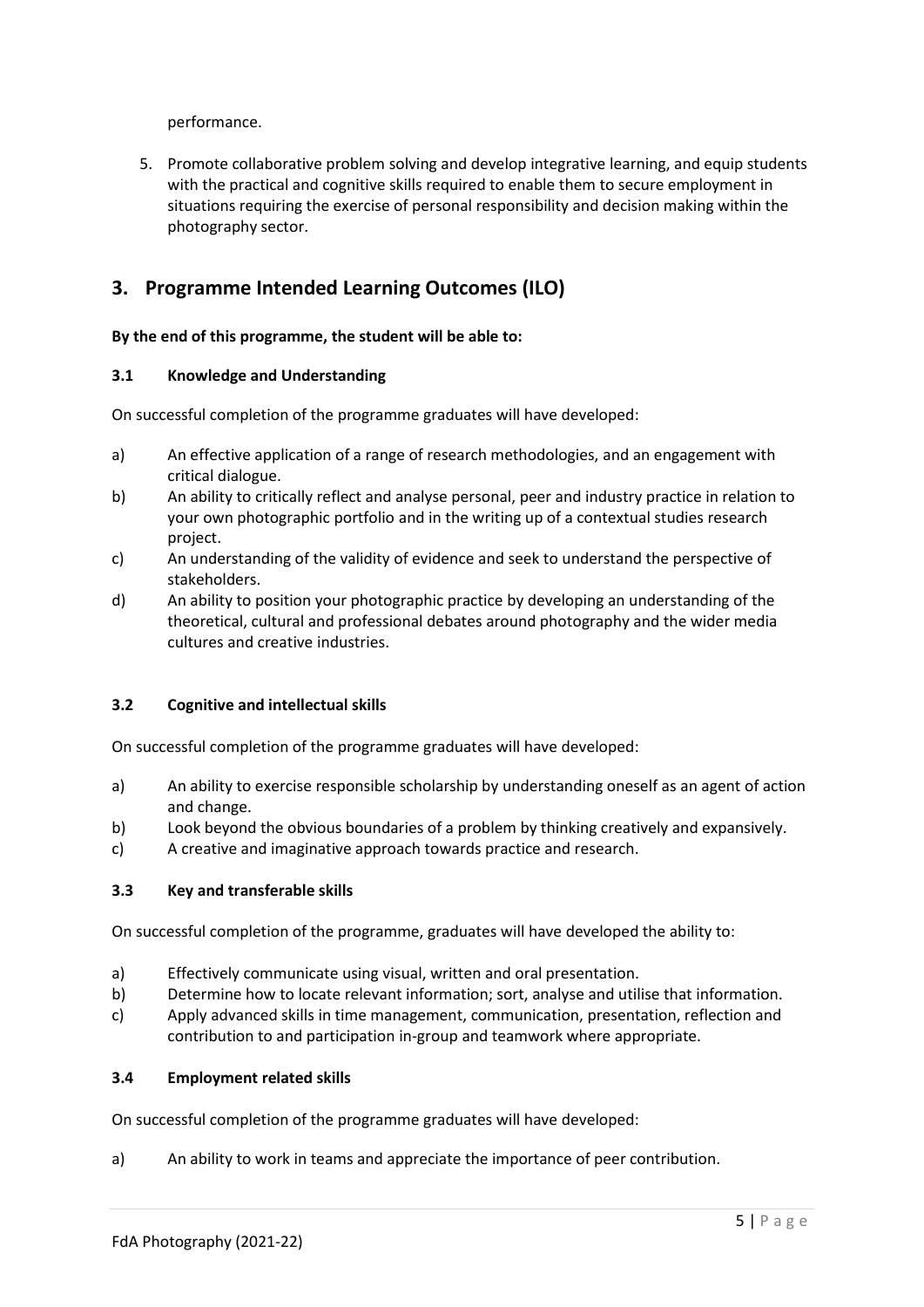performance.

5. Promote collaborative problem solving and develop integrative learning, and equip students with the practical and cognitive skills required to enable them to secure employment in situations requiring the exercise of personal responsibility and decision making within the photography sector.

#### <span id="page-4-0"></span>**3. Programme Intended Learning Outcomes (ILO)**

#### **By the end of this programme, the student will be able to:**

#### **3.1 Knowledge and Understanding**

On successful completion of the programme graduates will have developed:

- a) An effective application of a range of research methodologies, and an engagement with critical dialogue.
- b) An ability to critically reflect and analyse personal, peer and industry practice in relation to your own photographic portfolio and in the writing up of a contextual studies research project.
- c) An understanding of the validity of evidence and seek to understand the perspective of stakeholders.
- d) An ability to position your photographic practice by developing an understanding of the theoretical, cultural and professional debates around photography and the wider media cultures and creative industries.

#### **3.2 Cognitive and intellectual skills**

On successful completion of the programme graduates will have developed:

- a) An ability to exercise responsible scholarship by understanding oneself as an agent of action and change.
- b) Look beyond the obvious boundaries of a problem by thinking creatively and expansively.
- c) A creative and imaginative approach towards practice and research.

#### **3.3 Key and transferable skills**

On successful completion of the programme, graduates will have developed the ability to:

- a) Effectively communicate using visual, written and oral presentation.
- b) Determine how to locate relevant information; sort, analyse and utilise that information.
- c) Apply advanced skills in time management, communication, presentation, reflection and contribution to and participation in-group and teamwork where appropriate.

#### **3.4 Employment related skills**

On successful completion of the programme graduates will have developed:

a) An ability to work in teams and appreciate the importance of peer contribution.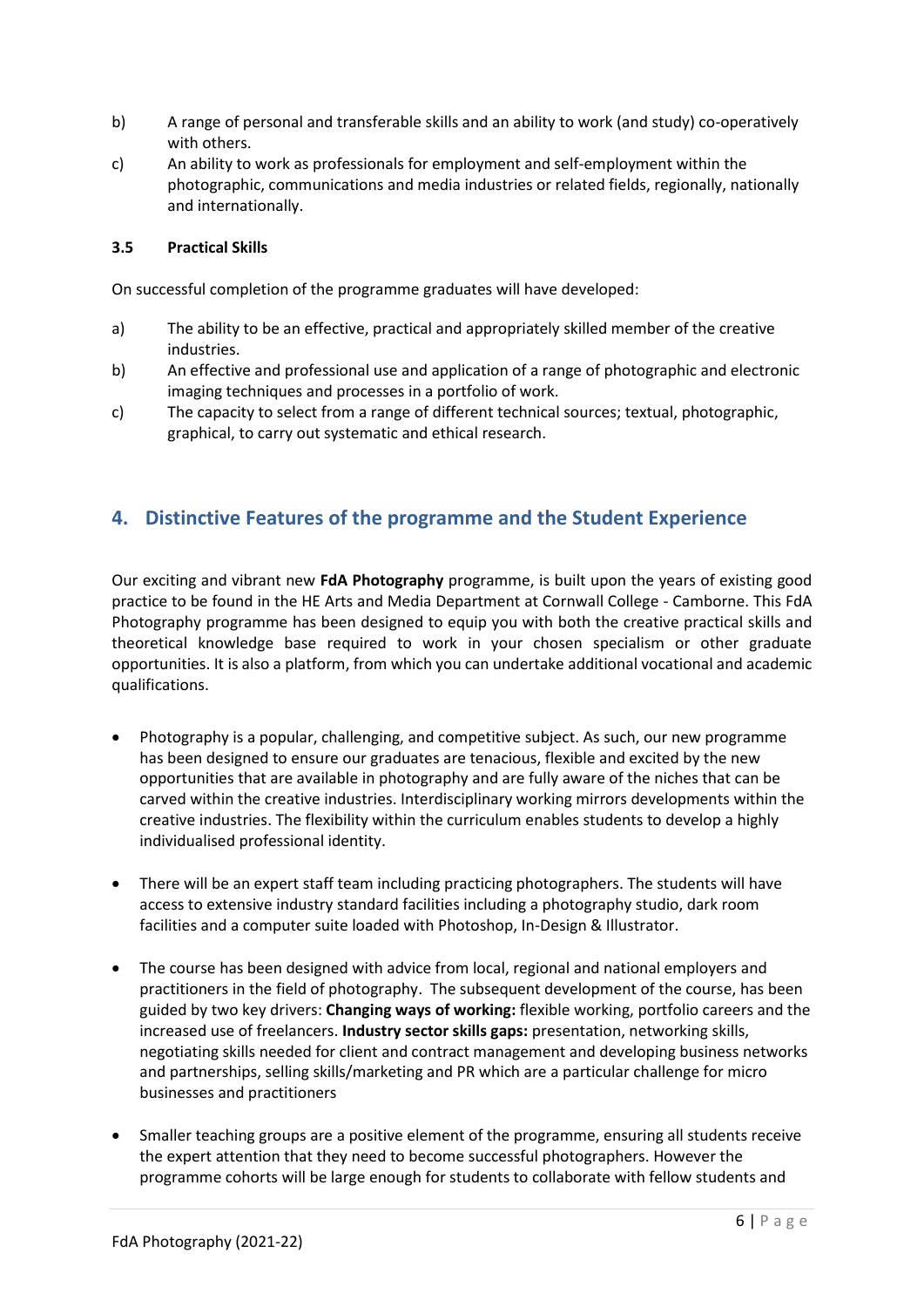- b) A range of personal and transferable skills and an ability to work (and study) co-operatively with others.
- c) An ability to work as professionals for employment and self-employment within the photographic, communications and media industries or related fields, regionally, nationally and internationally.

#### **3.5 Practical Skills**

On successful completion of the programme graduates will have developed:

- a) The ability to be an effective, practical and appropriately skilled member of the creative industries.
- b) An effective and professional use and application of a range of photographic and electronic imaging techniques and processes in a portfolio of work.
- c) The capacity to select from a range of different technical sources; textual, photographic, graphical, to carry out systematic and ethical research.

#### <span id="page-5-0"></span>**4. Distinctive Features of the programme and the Student Experience**

<span id="page-5-1"></span>Our exciting and vibrant new **FdA Photography** programme, is built upon the years of existing good practice to be found in the HE Arts and Media Department at Cornwall College - Camborne. This FdA Photography programme has been designed to equip you with both the creative practical skills and theoretical knowledge base required to work in your chosen specialism or other graduate opportunities. It is also a platform, from which you can undertake additional vocational and academic qualifications.

- Photography is a popular, challenging, and competitive subject. As such, our new programme has been designed to ensure our graduates are tenacious, flexible and excited by the new opportunities that are available in photography and are fully aware of the niches that can be carved within the creative industries. Interdisciplinary working mirrors developments within the creative industries. The flexibility within the curriculum enables students to develop a highly individualised professional identity.
- There will be an expert staff team including practicing photographers. The students will have access to extensive industry standard facilities including a photography studio, dark room facilities and a computer suite loaded with Photoshop, In-Design & Illustrator.
- The course has been designed with advice from local, regional and national employers and practitioners in the field of photography. The subsequent development of the course, has been guided by two key drivers: **Changing ways of working:** flexible working, portfolio careers and the increased use of freelancers. **Industry sector skills gaps:** presentation, networking skills, negotiating skills needed for client and contract management and developing business networks and partnerships, selling skills/marketing and PR which are a particular challenge for micro businesses and practitioners
- Smaller teaching groups are a positive element of the programme, ensuring all students receive the expert attention that they need to become successful photographers. However the programme cohorts will be large enough for students to collaborate with fellow students and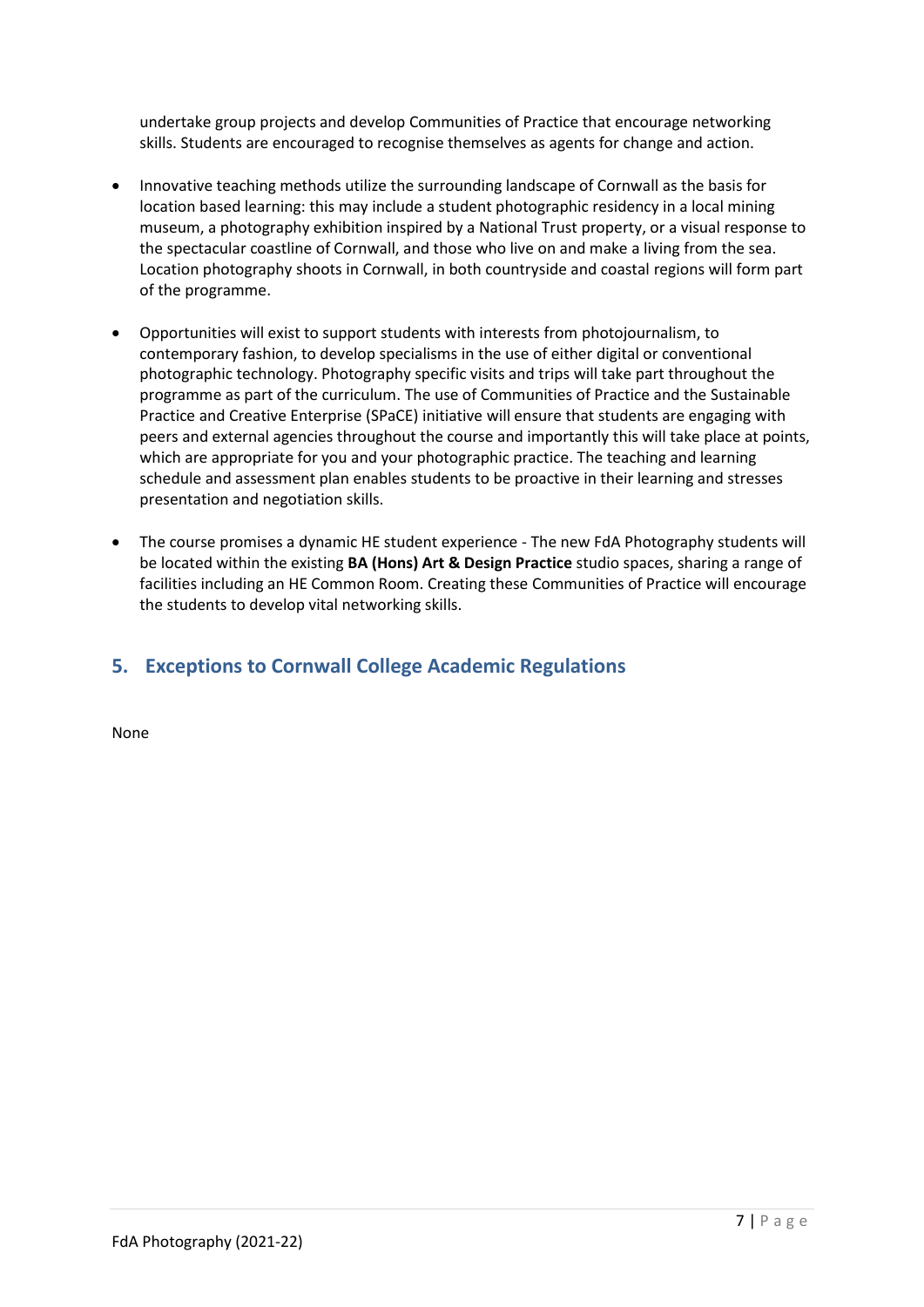undertake group projects and develop Communities of Practice that encourage networking skills. Students are encouraged to recognise themselves as agents for change and action.

- Innovative teaching methods utilize the surrounding landscape of Cornwall as the basis for location based learning: this may include a student photographic residency in a local mining museum, a photography exhibition inspired by a National Trust property, or a visual response to the spectacular coastline of Cornwall, and those who live on and make a living from the sea. Location photography shoots in Cornwall, in both countryside and coastal regions will form part of the programme.
- Opportunities will exist to support students with interests from photojournalism, to contemporary fashion, to develop specialisms in the use of either digital or conventional photographic technology. Photography specific visits and trips will take part throughout the programme as part of the curriculum. The use of Communities of Practice and the Sustainable Practice and Creative Enterprise (SPaCE) initiative will ensure that students are engaging with peers and external agencies throughout the course and importantly this will take place at points, which are appropriate for you and your photographic practice. The teaching and learning schedule and assessment plan enables students to be proactive in their learning and stresses presentation and negotiation skills.
- The course promises a dynamic HE student experience The new FdA Photography students will be located within the existing **BA (Hons) Art & Design Practice** studio spaces, sharing a range of facilities including an HE Common Room. Creating these Communities of Practice will encourage the students to develop vital networking skills.

#### **5. Exceptions to Cornwall College Academic Regulations**

None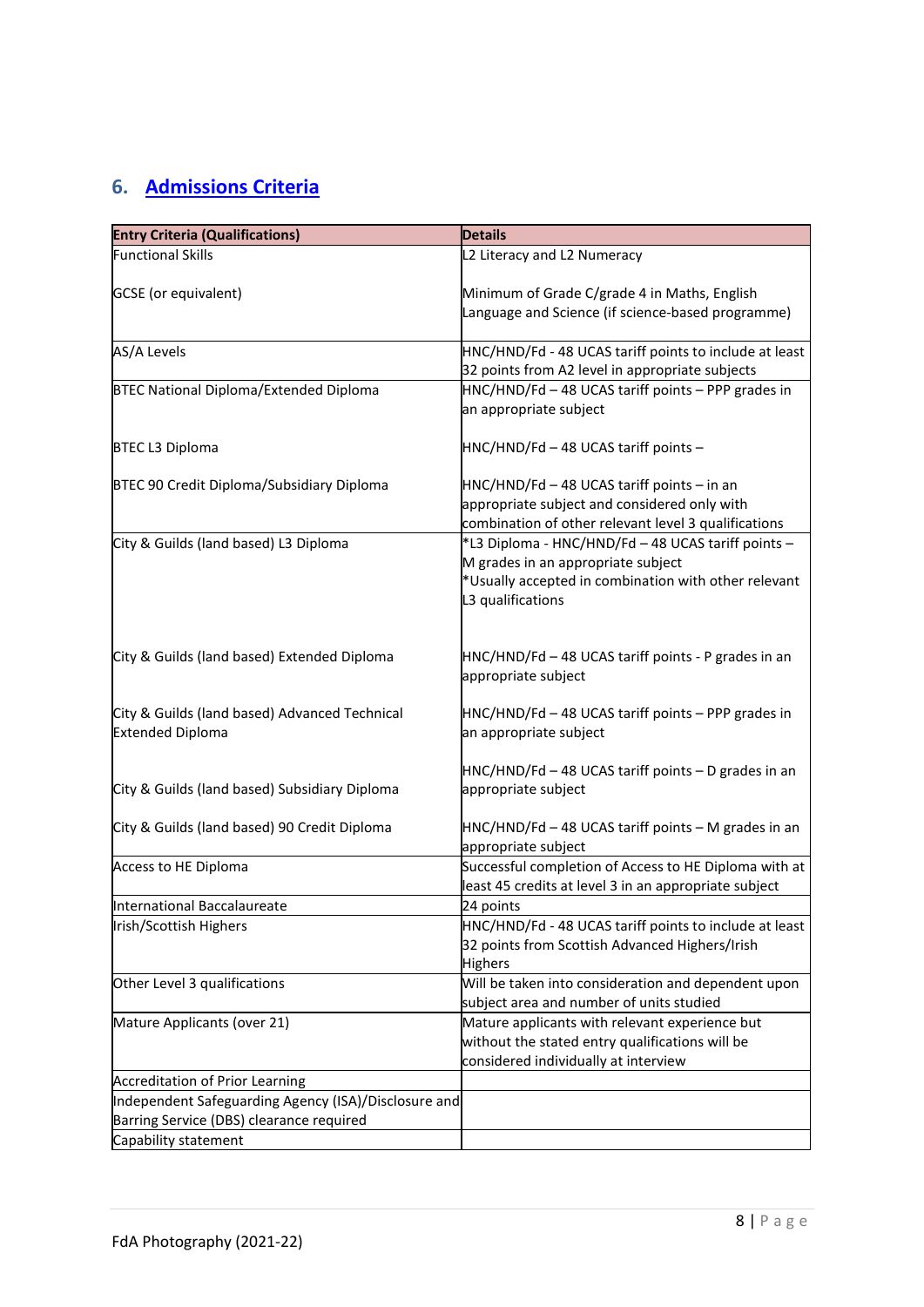# <span id="page-7-0"></span>**6. [Admissions Criteria](https://www.qaa.ac.uk/en/quality-code/advice-and-guidance/admissions-recruitment-and-widening-access)**

| <b>Entry Criteria (Qualifications)</b>                                                           | <b>Details</b>                                                                                                                                                        |
|--------------------------------------------------------------------------------------------------|-----------------------------------------------------------------------------------------------------------------------------------------------------------------------|
| <b>Functional Skills</b>                                                                         | L2 Literacy and L2 Numeracy                                                                                                                                           |
| GCSE (or equivalent)                                                                             | Minimum of Grade C/grade 4 in Maths, English<br>Language and Science (if science-based programme)                                                                     |
| AS/A Levels                                                                                      | HNC/HND/Fd - 48 UCAS tariff points to include at least                                                                                                                |
|                                                                                                  | 32 points from A2 level in appropriate subjects                                                                                                                       |
| BTEC National Diploma/Extended Diploma                                                           | HNC/HND/Fd - 48 UCAS tariff points - PPP grades in<br>an appropriate subject                                                                                          |
| <b>BTEC L3 Diploma</b>                                                                           | HNC/HND/Fd - 48 UCAS tariff points -                                                                                                                                  |
| BTEC 90 Credit Diploma/Subsidiary Diploma                                                        | HNC/HND/Fd - 48 UCAS tariff points - in an<br>appropriate subject and considered only with<br>combination of other relevant level 3 qualifications                    |
| City & Guilds (land based) L3 Diploma                                                            | *L3 Diploma - HNC/HND/Fd - 48 UCAS tariff points -<br>M grades in an appropriate subject<br>*Usually accepted in combination with other relevant<br>L3 qualifications |
| City & Guilds (land based) Extended Diploma                                                      | HNC/HND/Fd - 48 UCAS tariff points - P grades in an<br>appropriate subject                                                                                            |
| City & Guilds (land based) Advanced Technical<br><b>Extended Diploma</b>                         | HNC/HND/Fd - 48 UCAS tariff points - PPP grades in<br>an appropriate subject                                                                                          |
| City & Guilds (land based) Subsidiary Diploma                                                    | HNC/HND/Fd - 48 UCAS tariff points - D grades in an<br>appropriate subject                                                                                            |
| City & Guilds (land based) 90 Credit Diploma                                                     | HNC/HND/Fd - 48 UCAS tariff points - M grades in an<br>appropriate subject                                                                                            |
| Access to HE Diploma                                                                             | Successful completion of Access to HE Diploma with at<br>least 45 credits at level 3 in an appropriate subject                                                        |
| International Baccalaureate                                                                      | 24 points                                                                                                                                                             |
| Irish/Scottish Highers                                                                           | HNC/HND/Fd - 48 UCAS tariff points to include at least<br>32 points from Scottish Advanced Highers/Irish<br>Highers                                                   |
| Other Level 3 qualifications                                                                     | Will be taken into consideration and dependent upon<br>subject area and number of units studied                                                                       |
| Mature Applicants (over 21)                                                                      | Mature applicants with relevant experience but<br>without the stated entry qualifications will be<br>considered individually at interview                             |
| Accreditation of Prior Learning                                                                  |                                                                                                                                                                       |
| Independent Safeguarding Agency (ISA)/Disclosure and<br>Barring Service (DBS) clearance required |                                                                                                                                                                       |
| Capability statement                                                                             |                                                                                                                                                                       |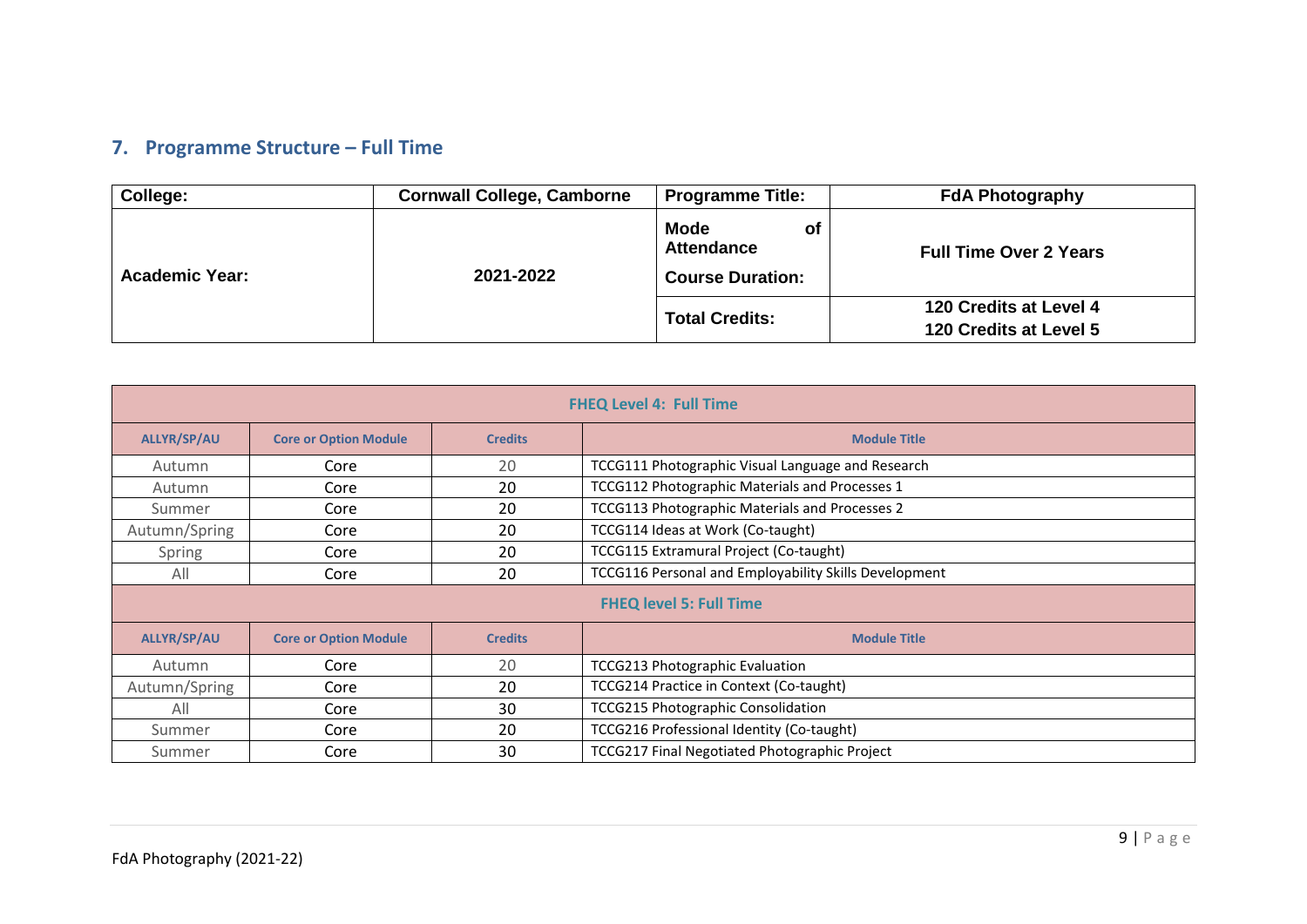# **7. Programme Structure – Full Time**

| College:              | <b>Cornwall College, Camborne</b> | <b>Programme Title:</b>                                           | <b>FdA Photography</b>                           |
|-----------------------|-----------------------------------|-------------------------------------------------------------------|--------------------------------------------------|
| <b>Academic Year:</b> | 2021-2022                         | <b>Mode</b><br>of<br><b>Attendance</b><br><b>Course Duration:</b> | <b>Full Time Over 2 Years</b>                    |
|                       |                                   | <b>Total Credits:</b>                                             | 120 Credits at Level 4<br>120 Credits at Level 5 |

<span id="page-8-0"></span>

| <b>FHEQ Level 4: Full Time</b>                                                              |                              |                                              |                                                   |  |  |  |  |  |  |
|---------------------------------------------------------------------------------------------|------------------------------|----------------------------------------------|---------------------------------------------------|--|--|--|--|--|--|
| <b>ALLYR/SP/AU</b>                                                                          | <b>Core or Option Module</b> | <b>Credits</b>                               | <b>Module Title</b>                               |  |  |  |  |  |  |
| Autumn                                                                                      | Core                         | 20                                           | TCCG111 Photographic Visual Language and Research |  |  |  |  |  |  |
| Autumn                                                                                      | Core                         | 20                                           | TCCG112 Photographic Materials and Processes 1    |  |  |  |  |  |  |
| Summer                                                                                      | Core                         | 20                                           | TCCG113 Photographic Materials and Processes 2    |  |  |  |  |  |  |
| Autumn/Spring                                                                               | Core                         | 20                                           | TCCG114 Ideas at Work (Co-taught)                 |  |  |  |  |  |  |
| Spring                                                                                      | Core                         | TCCG115 Extramural Project (Co-taught)<br>20 |                                                   |  |  |  |  |  |  |
| TCCG116 Personal and Employability Skills Development<br>20<br>All<br>Core                  |                              |                                              |                                                   |  |  |  |  |  |  |
| <b>FHEQ level 5: Full Time</b>                                                              |                              |                                              |                                                   |  |  |  |  |  |  |
| <b>ALLYR/SP/AU</b><br><b>Core or Option Module</b><br><b>Module Title</b><br><b>Credits</b> |                              |                                              |                                                   |  |  |  |  |  |  |
| Autumn                                                                                      | Core                         | 20                                           | <b>TCCG213 Photographic Evaluation</b>            |  |  |  |  |  |  |
| Autumn/Spring                                                                               | Core                         | 20                                           | TCCG214 Practice in Context (Co-taught)           |  |  |  |  |  |  |
| All                                                                                         | Core                         | 30                                           | <b>TCCG215 Photographic Consolidation</b>         |  |  |  |  |  |  |
| Summer                                                                                      | Core                         | 20                                           | TCCG216 Professional Identity (Co-taught)         |  |  |  |  |  |  |
| Summer                                                                                      | Core                         | 30                                           | TCCG217 Final Negotiated Photographic Project     |  |  |  |  |  |  |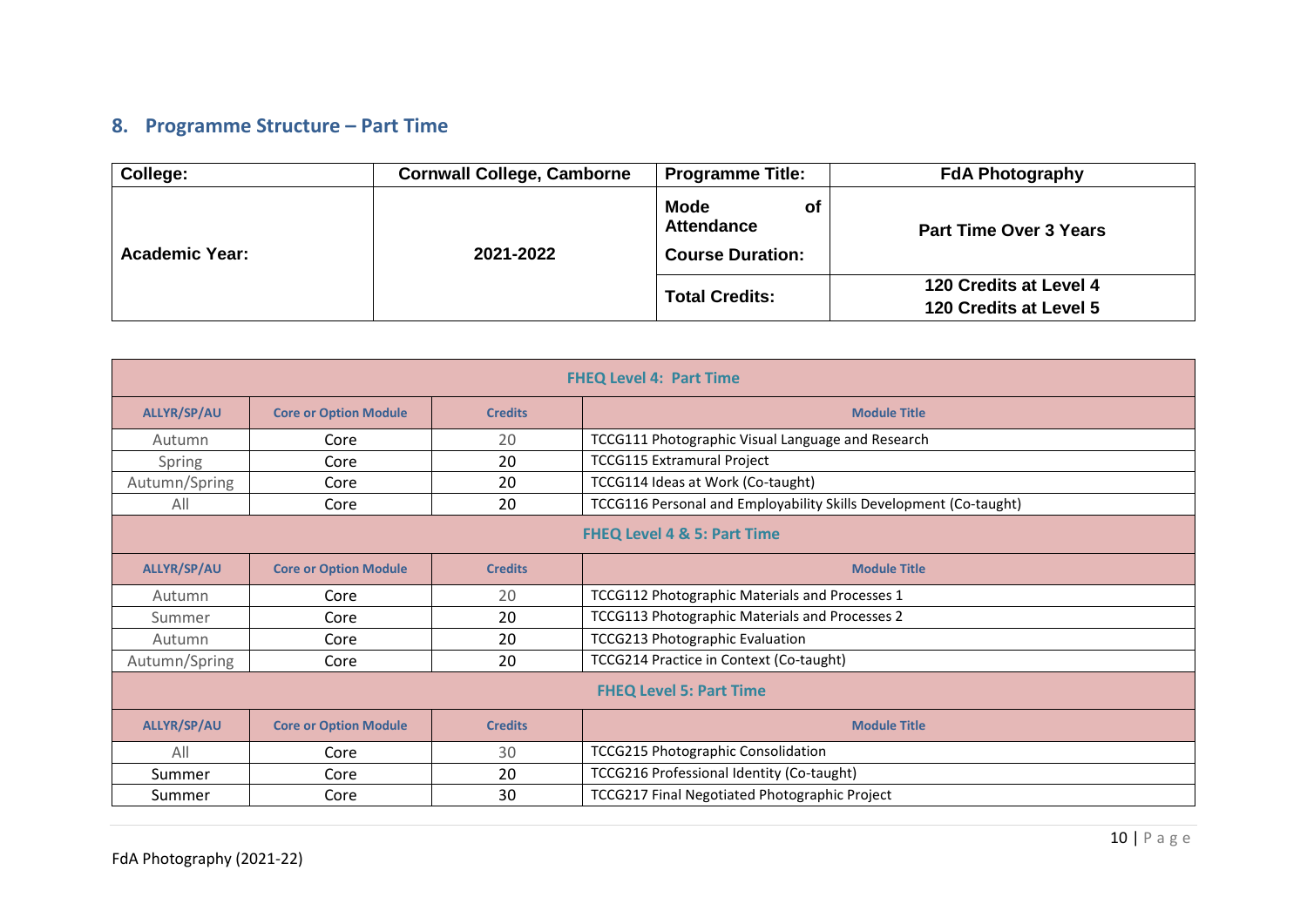# **8. Programme Structure – Part Time**

| College:              | <b>Cornwall College, Camborne</b> | <b>Programme Title:</b>                                           | <b>FdA Photography</b>                           |
|-----------------------|-----------------------------------|-------------------------------------------------------------------|--------------------------------------------------|
| <b>Academic Year:</b> | 2021-2022                         | <b>Mode</b><br>of<br><b>Attendance</b><br><b>Course Duration:</b> | <b>Part Time Over 3 Years</b>                    |
|                       |                                   | <b>Total Credits:</b>                                             | 120 Credits at Level 4<br>120 Credits at Level 5 |

<span id="page-9-0"></span>

| <b>FHEQ Level 4: Part Time</b>                                       |                              |                                        |                                                                   |  |  |  |  |  |
|----------------------------------------------------------------------|------------------------------|----------------------------------------|-------------------------------------------------------------------|--|--|--|--|--|
| <b>ALLYR/SP/AU</b>                                                   | <b>Core or Option Module</b> | <b>Credits</b>                         | <b>Module Title</b>                                               |  |  |  |  |  |
| Autumn                                                               | Core                         | 20                                     | TCCG111 Photographic Visual Language and Research                 |  |  |  |  |  |
| Spring                                                               | Core                         | 20                                     | <b>TCCG115 Extramural Project</b>                                 |  |  |  |  |  |
| Autumn/Spring                                                        | Core                         | 20                                     | TCCG114 Ideas at Work (Co-taught)                                 |  |  |  |  |  |
| All                                                                  | Core                         | 20                                     | TCCG116 Personal and Employability Skills Development (Co-taught) |  |  |  |  |  |
| <b>FHEQ Level 4 &amp; 5: Part Time</b>                               |                              |                                        |                                                                   |  |  |  |  |  |
| <b>ALLYR/SP/AU</b><br><b>Core or Option Module</b><br><b>Credits</b> |                              |                                        | <b>Module Title</b>                                               |  |  |  |  |  |
| Autumn                                                               | Core                         | 20                                     | TCCG112 Photographic Materials and Processes 1                    |  |  |  |  |  |
| Summer                                                               | Core                         | 20                                     | TCCG113 Photographic Materials and Processes 2                    |  |  |  |  |  |
| Autumn                                                               | Core                         | <b>TCCG213 Photographic Evaluation</b> |                                                                   |  |  |  |  |  |
| Autumn/Spring                                                        | Core                         | 20                                     | TCCG214 Practice in Context (Co-taught)                           |  |  |  |  |  |
| <b>FHEQ Level 5: Part Time</b>                                       |                              |                                        |                                                                   |  |  |  |  |  |
| <b>ALLYR/SP/AU</b>                                                   | <b>Core or Option Module</b> | <b>Credits</b>                         | <b>Module Title</b>                                               |  |  |  |  |  |
| All                                                                  | Core                         | 30                                     | <b>TCCG215 Photographic Consolidation</b>                         |  |  |  |  |  |
| Summer                                                               | Core                         | 20                                     | TCCG216 Professional Identity (Co-taught)                         |  |  |  |  |  |
| Summer                                                               | Core                         | 30                                     | TCCG217 Final Negotiated Photographic Project                     |  |  |  |  |  |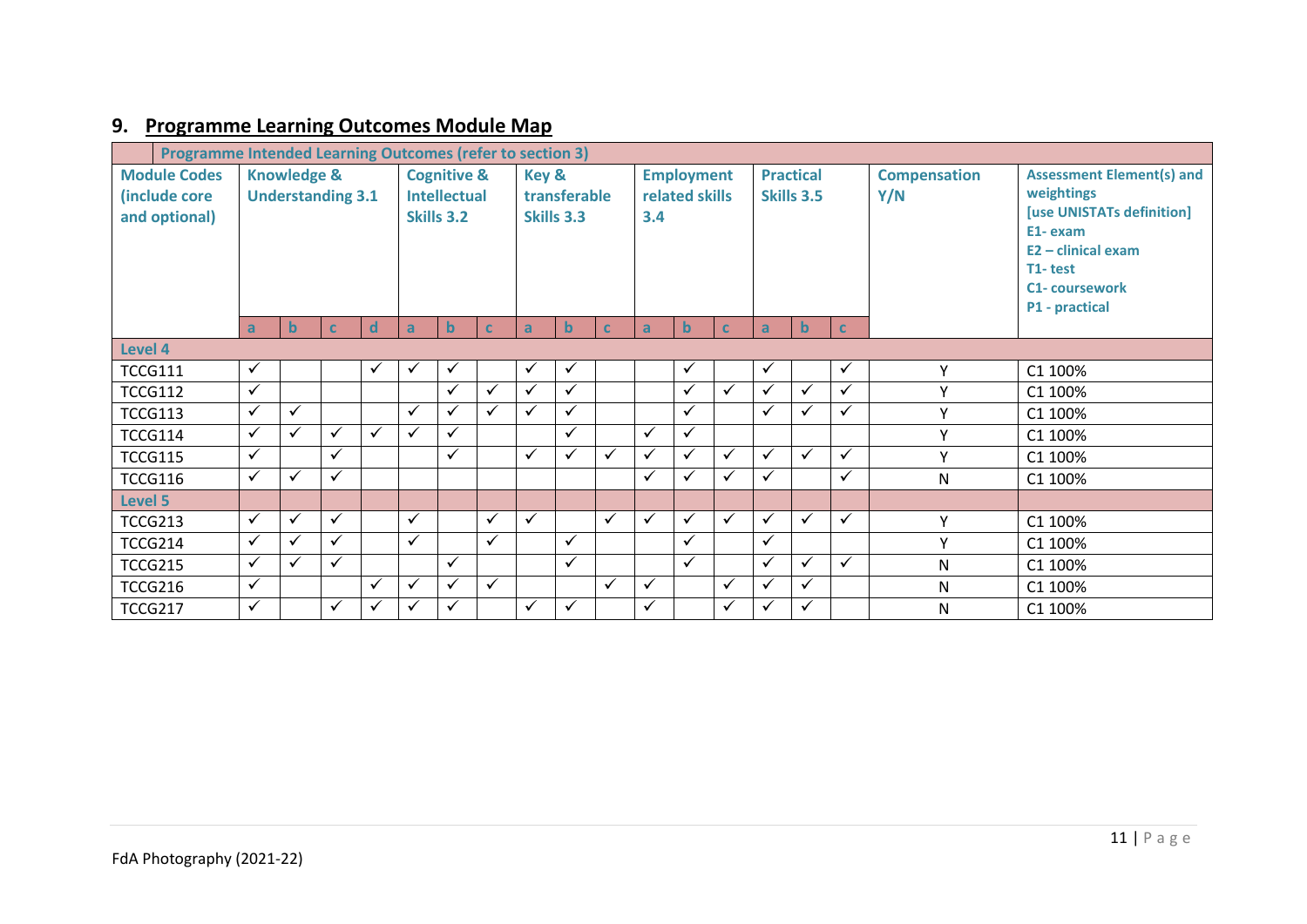# **9. [Programme Learning Outcomes Module Map](https://www.qaa.ac.uk/en/quality-code/advice-and-guidance/course-design-and-development)**

<span id="page-10-0"></span>

| <b>Module Codes</b><br>(include core<br>and optional) | <b>Programme Intended Learning Outcomes (refer to section 3)</b><br><b>Knowledge &amp;</b><br><b>Cognitive &amp;</b><br>Key &<br><b>Understanding 3.1</b><br><b>Intellectual</b><br>transferable<br><b>Skills 3.2</b><br>Skills 3.3 |              | 3.4          | <b>Employment</b><br>related skills |              |             | <b>Practical</b><br>Skills 3.5 |              | <b>Compensation</b><br>Y/N | <b>Assessment Element(s) and</b><br>weightings<br>[use UNISTATs definition]<br>E1-exam<br>$E2 -$ clinical exam<br>T1-test<br><b>C1- coursework</b><br>P1 - practical |              |              |              |              |              |              |           |         |
|-------------------------------------------------------|-------------------------------------------------------------------------------------------------------------------------------------------------------------------------------------------------------------------------------------|--------------|--------------|-------------------------------------|--------------|-------------|--------------------------------|--------------|----------------------------|----------------------------------------------------------------------------------------------------------------------------------------------------------------------|--------------|--------------|--------------|--------------|--------------|--------------|-----------|---------|
|                                                       | a                                                                                                                                                                                                                                   | $\mathbf b$  | $\mathbf C$  | <sub>d</sub>                        | $\mathsf{a}$ | $\mathbf b$ | $\mathbf{C}$                   | $\mathsf{a}$ | $\mathbf b$                | $\mathbf{C}$                                                                                                                                                         | a            | $\mathbf b$  | $\mathbf{C}$ | $\mathbf{a}$ | $\mathbf b$  | <b>C</b>     |           |         |
| Level 4                                               |                                                                                                                                                                                                                                     |              |              |                                     |              |             |                                |              |                            |                                                                                                                                                                      |              |              |              |              |              |              |           |         |
| <b>TCCG111</b>                                        | $\checkmark$                                                                                                                                                                                                                        |              |              | ✓                                   | ✓            | ✓           |                                | $\checkmark$ | ✓                          |                                                                                                                                                                      |              | ✓            |              | $\checkmark$ |              | ✓            | Υ         | C1 100% |
| <b>TCCG112</b>                                        | $\checkmark$                                                                                                                                                                                                                        |              |              |                                     |              | ✓           | ✓                              | ✓            | ✓                          |                                                                                                                                                                      |              | ✓            | $\checkmark$ | $\checkmark$ | $\checkmark$ | $\checkmark$ | v         | C1 100% |
| <b>TCCG113</b>                                        | ✓                                                                                                                                                                                                                                   | $\checkmark$ |              |                                     | ✓            | ✓           | $\checkmark$                   | ✓            | $\checkmark$               |                                                                                                                                                                      |              | ✓            |              | $\checkmark$ | ✓            | ✓            | v         | C1 100% |
| <b>TCCG114</b>                                        | $\checkmark$                                                                                                                                                                                                                        | $\checkmark$ | $\checkmark$ | ✓                                   | $\checkmark$ | ✓           |                                |              | $\checkmark$               |                                                                                                                                                                      | ✓            | $\checkmark$ |              |              |              |              | Y         | C1 100% |
| <b>TCCG115</b>                                        | $\checkmark$                                                                                                                                                                                                                        |              | ✓            |                                     |              | ✓           |                                | ✓            | ✓                          | $\checkmark$                                                                                                                                                         | ✓            | ✓            | $\checkmark$ | $\checkmark$ | $\checkmark$ | ✓            | $\vee$    | C1 100% |
| <b>TCCG116</b>                                        | ✓                                                                                                                                                                                                                                   | $\checkmark$ | ✓            |                                     |              |             |                                |              |                            |                                                                                                                                                                      | ✓            | ✓            | ✓            | $\checkmark$ |              | ✓            | N         | C1 100% |
| Level 5                                               |                                                                                                                                                                                                                                     |              |              |                                     |              |             |                                |              |                            |                                                                                                                                                                      |              |              |              |              |              |              |           |         |
| <b>TCCG213</b>                                        | $\checkmark$                                                                                                                                                                                                                        | $\checkmark$ | $\checkmark$ |                                     | $\checkmark$ |             | $\checkmark$                   | $\checkmark$ |                            | $\checkmark$                                                                                                                                                         | $\checkmark$ | ✓            | $\checkmark$ | $\checkmark$ | $\checkmark$ | $\checkmark$ | v         | C1 100% |
| <b>TCCG214</b>                                        | $\checkmark$                                                                                                                                                                                                                        | $\checkmark$ | $\checkmark$ |                                     | $\checkmark$ |             | $\checkmark$                   |              | ✓                          |                                                                                                                                                                      |              | ✓            |              | $\checkmark$ |              |              | Υ         | C1 100% |
| <b>TCCG215</b>                                        | $\checkmark$                                                                                                                                                                                                                        | $\checkmark$ | ✓            |                                     |              | ✓           |                                |              | $\checkmark$               |                                                                                                                                                                      |              | ✓            |              | $\checkmark$ | $\checkmark$ | $\checkmark$ | N         | C1 100% |
| <b>TCCG216</b>                                        | $\checkmark$                                                                                                                                                                                                                        |              |              | ✓                                   | ✓            | ✓           | $\checkmark$                   |              |                            | $\checkmark$                                                                                                                                                         | ✓            |              | $\checkmark$ | $\checkmark$ | ✓            |              | N         | C1 100% |
| <b>TCCG217</b>                                        | $\checkmark$                                                                                                                                                                                                                        |              | ✓            | ✓                                   | ✓            | ✓           |                                | ✓            | $\checkmark$               |                                                                                                                                                                      | ✓            |              | $\checkmark$ | $\checkmark$ | $\checkmark$ |              | ${\sf N}$ | C1 100% |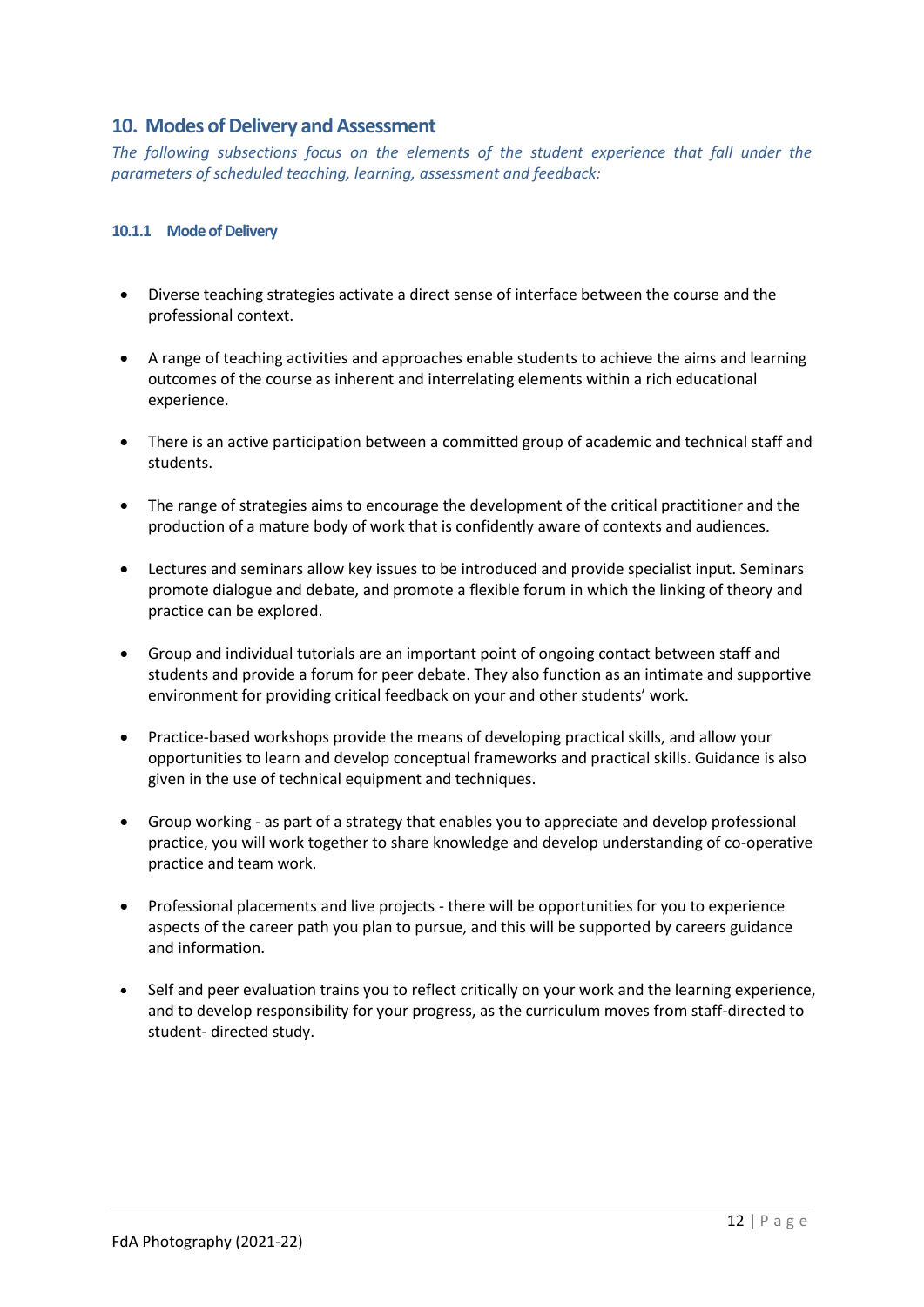#### <span id="page-11-0"></span>**10. Modes of Delivery and Assessment**

*The following subsections focus on the elements of the student experience that fall under the parameters of scheduled teaching, learning, assessment and feedback:*

#### **10.1.1 Mode of Delivery**

- Diverse teaching strategies activate a direct sense of interface between the course and the professional context.
- A range of teaching activities and approaches enable students to achieve the aims and learning outcomes of the course as inherent and interrelating elements within a rich educational experience.
- There is an active participation between a committed group of academic and technical staff and students.
- The range of strategies aims to encourage the development of the critical practitioner and the production of a mature body of work that is confidently aware of contexts and audiences.
- Lectures and seminars allow key issues to be introduced and provide specialist input. Seminars promote dialogue and debate, and promote a flexible forum in which the linking of theory and practice can be explored.
- Group and individual tutorials are an important point of ongoing contact between staff and students and provide a forum for peer debate. They also function as an intimate and supportive environment for providing critical feedback on your and other students' work.
- Practice-based workshops provide the means of developing practical skills, and allow your opportunities to learn and develop conceptual frameworks and practical skills. Guidance is also given in the use of technical equipment and techniques.
- Group working as part of a strategy that enables you to appreciate and develop professional practice, you will work together to share knowledge and develop understanding of co-operative practice and team work.
- Professional placements and live projects there will be opportunities for you to experience aspects of the career path you plan to pursue, and this will be supported by careers guidance and information.
- Self and peer evaluation trains you to reflect critically on your work and the learning experience, and to develop responsibility for your progress, as the curriculum moves from staff-directed to student- directed study.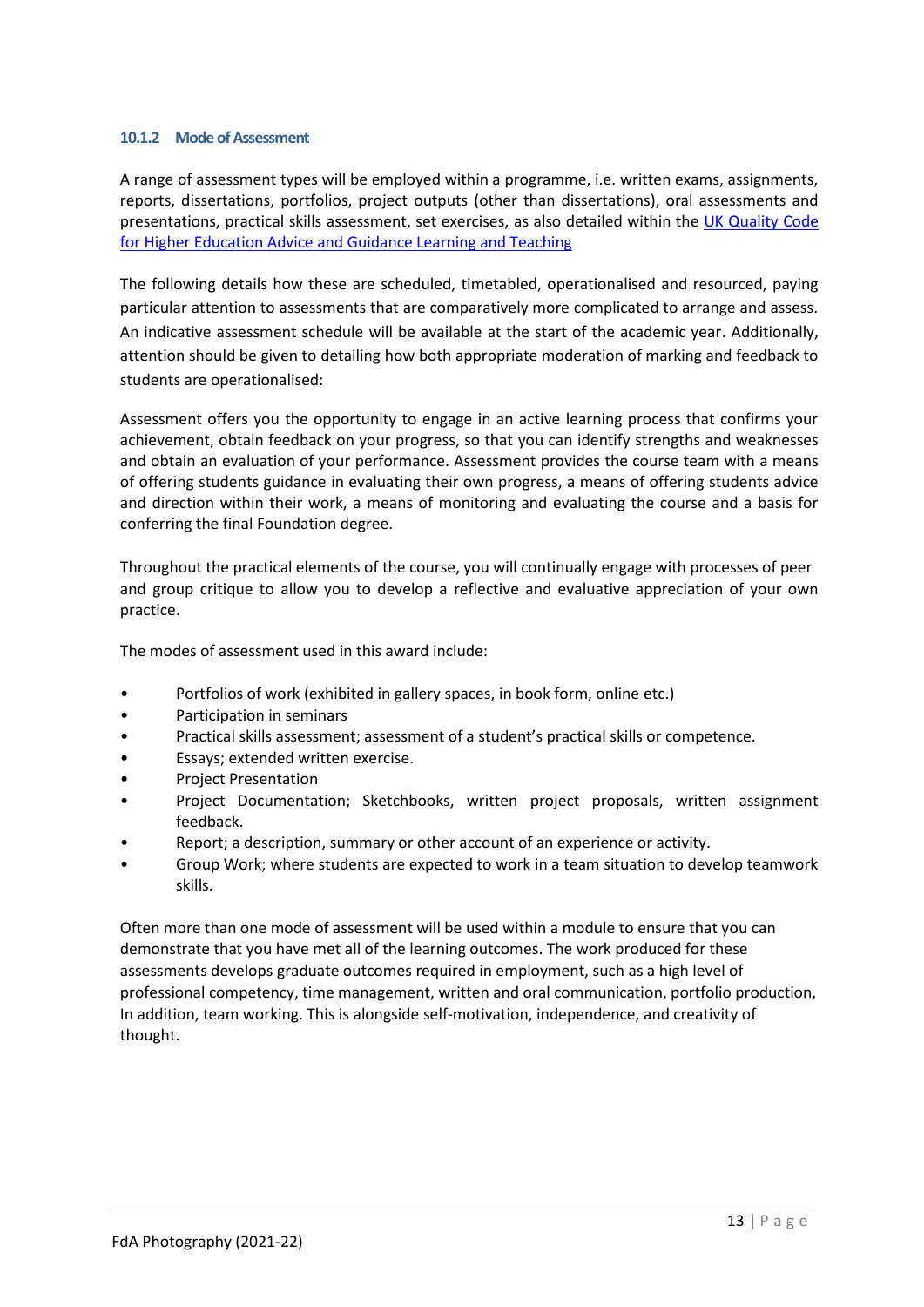#### **10.1.2 Mode of Assessment**

A range of assessment types will be employed within a programme, i.e. written exams, assignments, reports, dissertations, portfolios, project outputs (other than dissertations), oral assessments and presentations, practical skills assessment, set exercises, as also detailed within the [UK Quality Code](https://www.qaa.ac.uk/en/quality-code/advice-and-guidance/learning-and-teaching)  [for Higher Education Advice and Guidance Learning and Teaching](https://www.qaa.ac.uk/en/quality-code/advice-and-guidance/learning-and-teaching)

The following details how these are scheduled, timetabled, operationalised and resourced, paying particular attention to assessments that are comparatively more complicated to arrange and assess. An indicative assessment schedule will be available at the start of the academic year. Additionally, attention should be given to detailing how both appropriate moderation of marking and feedback to students are operationalised:

Assessment offers you the opportunity to engage in an active learning process that confirms your achievement, obtain feedback on your progress, so that you can identify strengths and weaknesses and obtain an evaluation of your performance. Assessment provides the course team with a means of offering students guidance in evaluating their own progress, a means of offering students advice and direction within their work, a means of monitoring and evaluating the course and a basis for conferring the final Foundation degree.

Throughout the practical elements of the course, you will continually engage with processes of peer and group critique to allow you to develop a reflective and evaluative appreciation of your own practice.

The modes of assessment used in this award include:

- Portfolios of work (exhibited in gallery spaces, in book form, online etc.)
- Participation in seminars
- Practical skills assessment; assessment of a student's practical skills or competence.
- Essays; extended written exercise.
- Project Presentation
- Project Documentation; Sketchbooks, written project proposals, written assignment feedback.
- Report; a description, summary or other account of an experience or activity.
- Group Work; where students are expected to work in a team situation to develop teamwork skills.

Often more than one mode of assessment will be used within a module to ensure that you can demonstrate that you have met all of the learning outcomes. The work produced for these assessments develops graduate outcomes required in employment, such as a high level of professional competency, time management, written and oral communication, portfolio production, In addition, team working. This is alongside self-motivation, independence, and creativity of thought.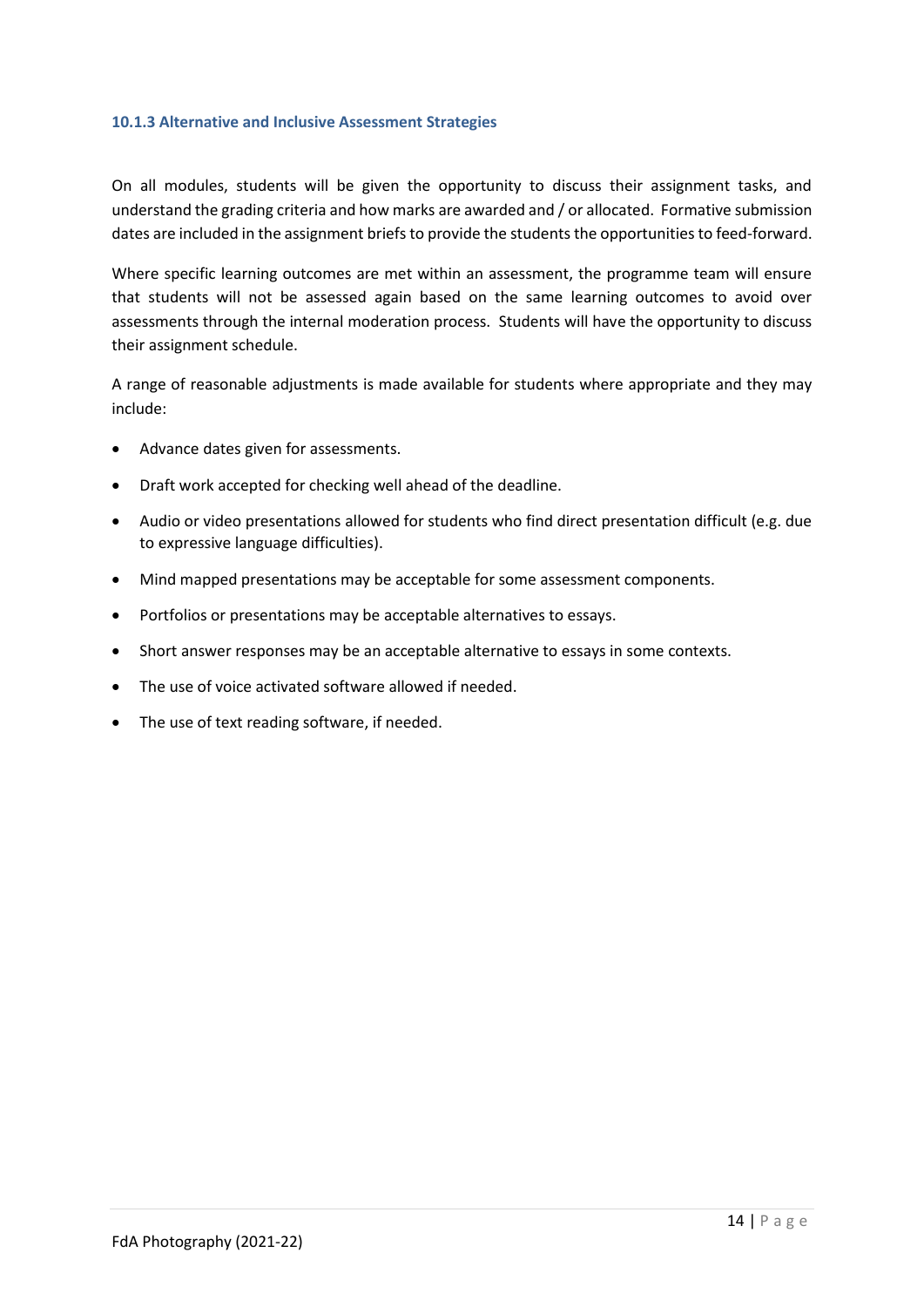#### **10.1.3 Alternative and Inclusive Assessment Strategies**

On all modules, students will be given the opportunity to discuss their assignment tasks, and understand the grading criteria and how marks are awarded and / or allocated. Formative submission dates are included in the assignment briefs to provide the students the opportunities to feed-forward.

Where specific learning outcomes are met within an assessment, the programme team will ensure that students will not be assessed again based on the same learning outcomes to avoid over assessments through the internal moderation process. Students will have the opportunity to discuss their assignment schedule.

A range of reasonable adjustments is made available for students where appropriate and they may include:

- Advance dates given for assessments.
- Draft work accepted for checking well ahead of the deadline.
- Audio or video presentations allowed for students who find direct presentation difficult (e.g. due to expressive language difficulties).
- Mind mapped presentations may be acceptable for some assessment components.
- Portfolios or presentations may be acceptable alternatives to essays.
- Short answer responses may be an acceptable alternative to essays in some contexts.
- The use of voice activated software allowed if needed.
- The use of text reading software, if needed.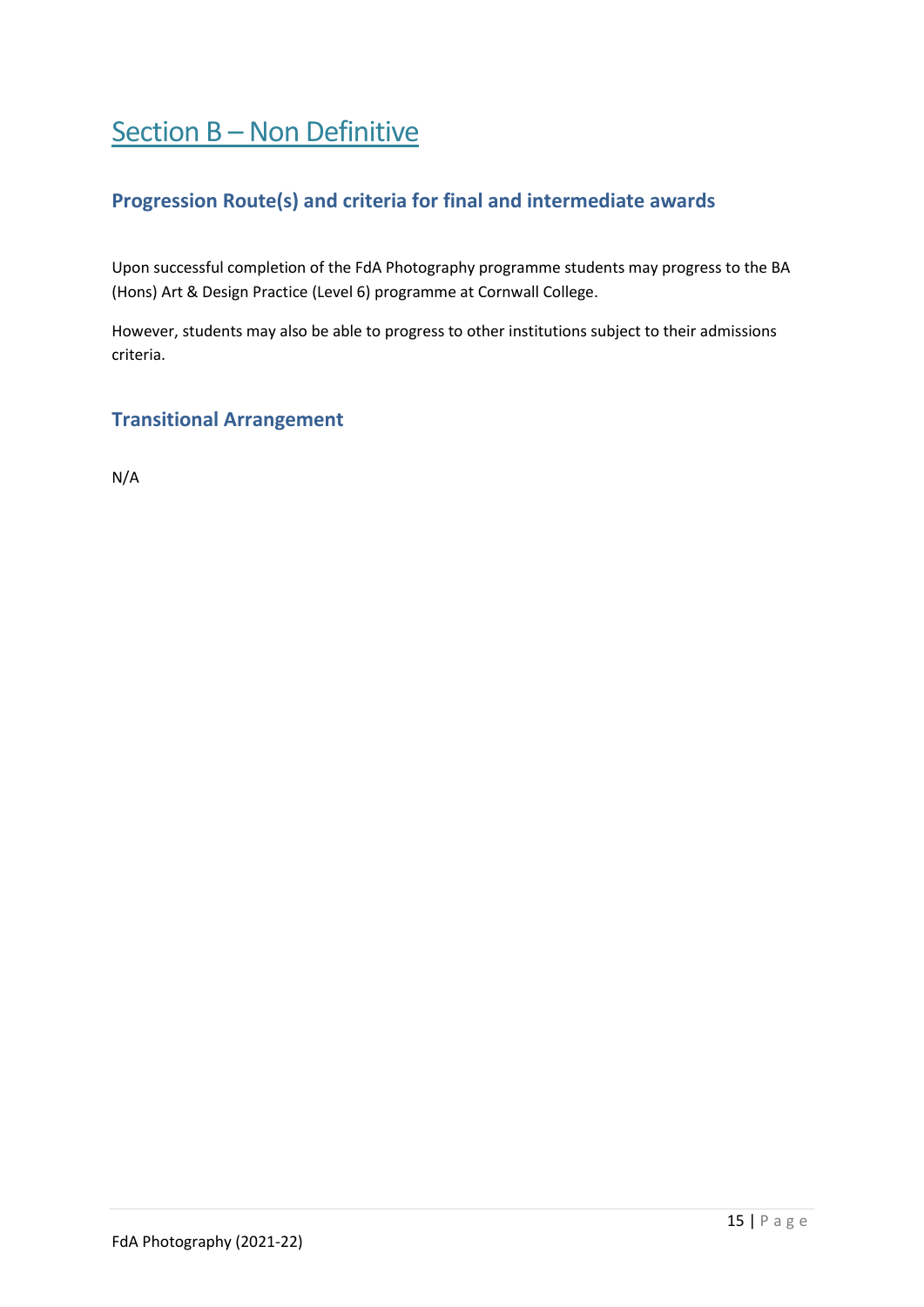# <span id="page-14-1"></span><span id="page-14-0"></span>Section B – Non Definitive

### **Progression Route(s) and criteria for final and intermediate awards**

Upon successful completion of the FdA Photography programme students may progress to the BA (Hons) Art & Design Practice (Level 6) programme at Cornwall College.

However, students may also be able to progress to other institutions subject to their admissions criteria.

#### <span id="page-14-2"></span>**Transitional Arrangement**

N/A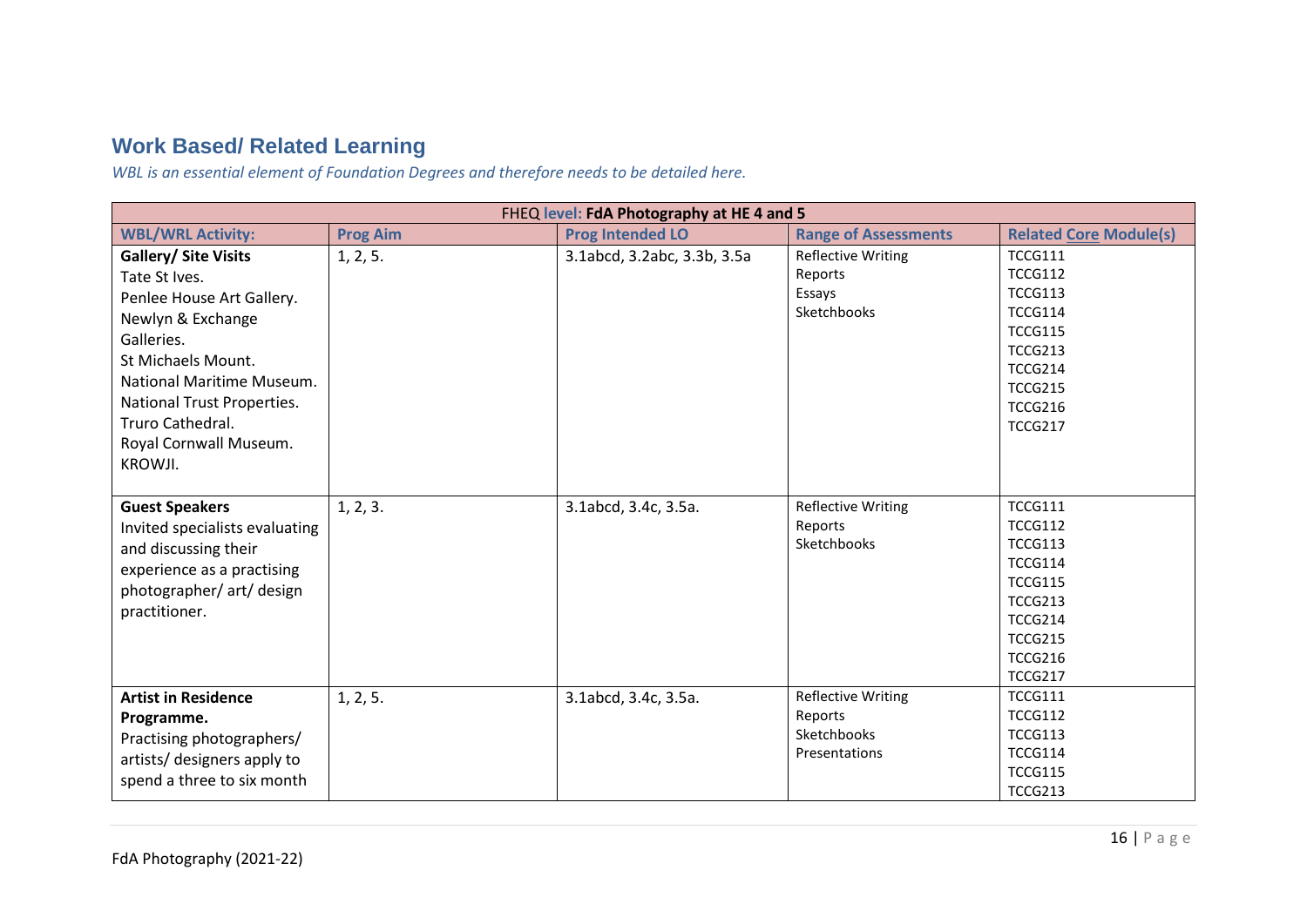# **Work Based/ Related Learning**

*WBL is an essential element of Foundation Degrees and therefore needs to be detailed here.* 

<span id="page-15-0"></span>

| FHEQ level: FdA Photography at HE 4 and 5 |                 |                             |                             |                               |  |  |  |  |  |
|-------------------------------------------|-----------------|-----------------------------|-----------------------------|-------------------------------|--|--|--|--|--|
| <b>WBL/WRL Activity:</b>                  | <b>Prog Aim</b> | <b>Prog Intended LO</b>     | <b>Range of Assessments</b> | <b>Related Core Module(s)</b> |  |  |  |  |  |
| <b>Gallery/ Site Visits</b>               | 1, 2, 5.        | 3.1abcd, 3.2abc, 3.3b, 3.5a | <b>Reflective Writing</b>   | <b>TCCG111</b>                |  |  |  |  |  |
| Tate St Ives.                             |                 |                             | Reports                     | <b>TCCG112</b>                |  |  |  |  |  |
| Penlee House Art Gallery.                 |                 |                             | Essays                      | <b>TCCG113</b>                |  |  |  |  |  |
| Newlyn & Exchange                         |                 |                             | Sketchbooks                 | <b>TCCG114</b>                |  |  |  |  |  |
| Galleries.                                |                 |                             |                             | <b>TCCG115</b>                |  |  |  |  |  |
| St Michaels Mount.                        |                 |                             |                             | <b>TCCG213</b>                |  |  |  |  |  |
| National Maritime Museum.                 |                 |                             |                             | <b>TCCG214</b>                |  |  |  |  |  |
|                                           |                 |                             |                             | <b>TCCG215</b>                |  |  |  |  |  |
| National Trust Properties.                |                 |                             |                             | <b>TCCG216</b>                |  |  |  |  |  |
| Truro Cathedral.                          |                 |                             |                             | <b>TCCG217</b>                |  |  |  |  |  |
| Royal Cornwall Museum.                    |                 |                             |                             |                               |  |  |  |  |  |
| KROWJI.                                   |                 |                             |                             |                               |  |  |  |  |  |
|                                           |                 |                             |                             |                               |  |  |  |  |  |
| <b>Guest Speakers</b>                     | 1, 2, 3.        | 3.1abcd, 3.4c, 3.5a.        | <b>Reflective Writing</b>   | <b>TCCG111</b>                |  |  |  |  |  |
| Invited specialists evaluating            |                 |                             | Reports                     | <b>TCCG112</b>                |  |  |  |  |  |
| and discussing their                      |                 |                             | Sketchbooks                 | <b>TCCG113</b>                |  |  |  |  |  |
| experience as a practising                |                 |                             |                             | <b>TCCG114</b>                |  |  |  |  |  |
| photographer/ art/ design                 |                 |                             |                             | <b>TCCG115</b>                |  |  |  |  |  |
| practitioner.                             |                 |                             |                             | <b>TCCG213</b>                |  |  |  |  |  |
|                                           |                 |                             |                             | <b>TCCG214</b>                |  |  |  |  |  |
|                                           |                 |                             |                             | <b>TCCG215</b>                |  |  |  |  |  |
|                                           |                 |                             |                             | <b>TCCG216</b>                |  |  |  |  |  |
|                                           |                 |                             |                             | <b>TCCG217</b>                |  |  |  |  |  |
| <b>Artist in Residence</b>                | 1, 2, 5.        | 3.1abcd, 3.4c, 3.5a.        | <b>Reflective Writing</b>   | <b>TCCG111</b>                |  |  |  |  |  |
| Programme.                                |                 |                             | Reports                     | <b>TCCG112</b>                |  |  |  |  |  |
| Practising photographers/                 |                 |                             | Sketchbooks                 | <b>TCCG113</b>                |  |  |  |  |  |
| artists/ designers apply to               |                 |                             | Presentations               | <b>TCCG114</b>                |  |  |  |  |  |
| spend a three to six month                |                 |                             |                             | <b>TCCG115</b>                |  |  |  |  |  |
|                                           |                 |                             |                             | <b>TCCG213</b>                |  |  |  |  |  |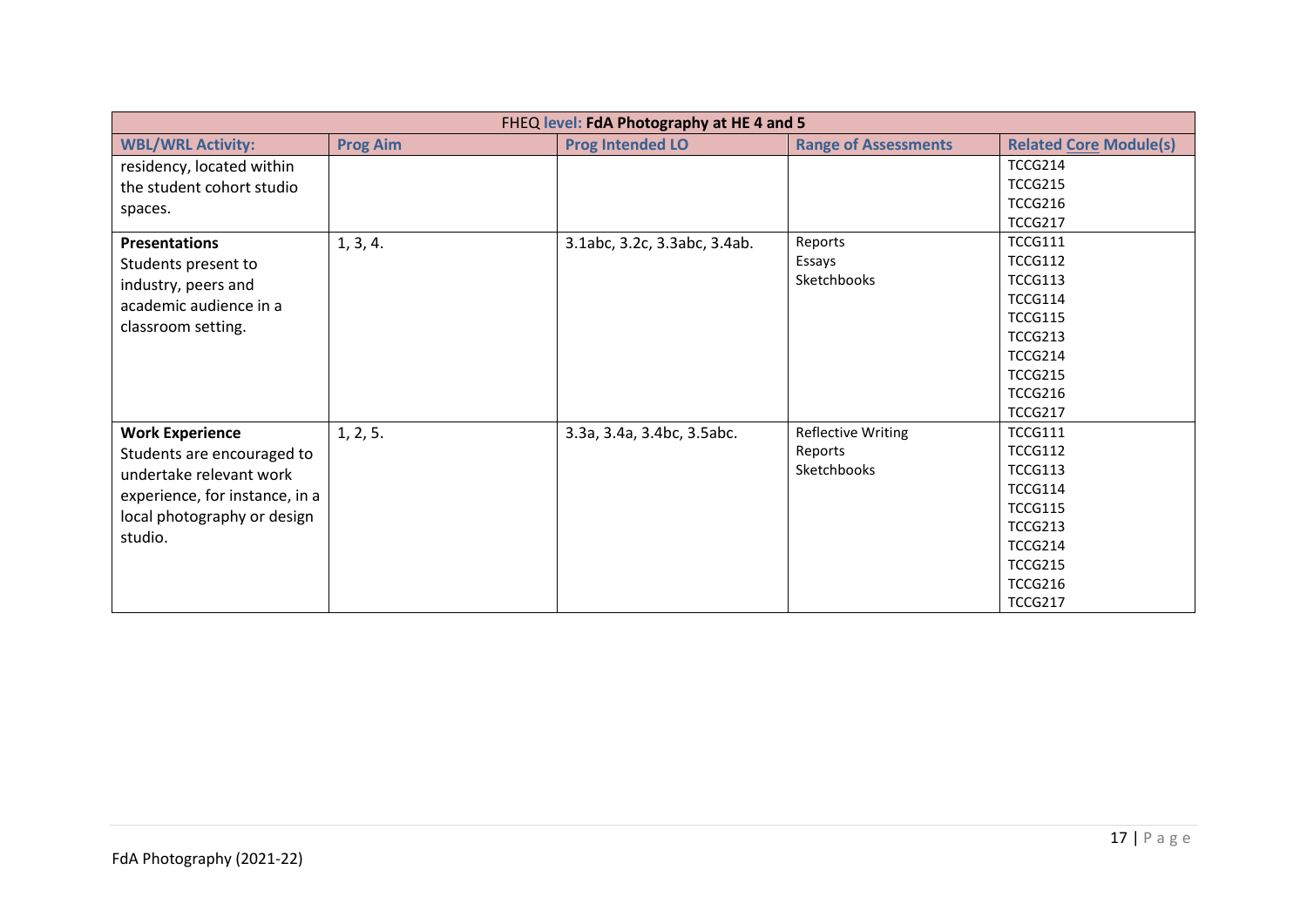| FHEQ level: FdA Photography at HE 4 and 5 |                 |                              |                             |                               |  |  |  |  |  |
|-------------------------------------------|-----------------|------------------------------|-----------------------------|-------------------------------|--|--|--|--|--|
| <b>WBL/WRL Activity:</b>                  | <b>Prog Aim</b> | <b>Prog Intended LO</b>      | <b>Range of Assessments</b> | <b>Related Core Module(s)</b> |  |  |  |  |  |
| residency, located within                 |                 |                              |                             | <b>TCCG214</b>                |  |  |  |  |  |
| the student cohort studio                 |                 |                              |                             | <b>TCCG215</b>                |  |  |  |  |  |
| spaces.                                   |                 |                              |                             | <b>TCCG216</b>                |  |  |  |  |  |
|                                           |                 |                              |                             | <b>TCCG217</b>                |  |  |  |  |  |
| <b>Presentations</b>                      | 1, 3, 4.        | 3.1abc, 3.2c, 3.3abc, 3.4ab. | Reports                     | <b>TCCG111</b>                |  |  |  |  |  |
| Students present to                       |                 |                              | Essays                      | <b>TCCG112</b>                |  |  |  |  |  |
| industry, peers and                       |                 |                              | Sketchbooks                 | <b>TCCG113</b>                |  |  |  |  |  |
| academic audience in a                    |                 |                              |                             | <b>TCCG114</b>                |  |  |  |  |  |
| classroom setting.                        |                 |                              |                             | <b>TCCG115</b>                |  |  |  |  |  |
|                                           |                 |                              |                             | <b>TCCG213</b>                |  |  |  |  |  |
|                                           |                 |                              |                             | <b>TCCG214</b>                |  |  |  |  |  |
|                                           |                 |                              |                             | <b>TCCG215</b>                |  |  |  |  |  |
|                                           |                 |                              |                             | <b>TCCG216</b>                |  |  |  |  |  |
|                                           |                 |                              |                             | <b>TCCG217</b>                |  |  |  |  |  |
| <b>Work Experience</b>                    | 1, 2, 5.        | 3.3a, 3.4a, 3.4bc, 3.5abc.   | <b>Reflective Writing</b>   | <b>TCCG111</b>                |  |  |  |  |  |
| Students are encouraged to                |                 |                              | Reports                     | <b>TCCG112</b>                |  |  |  |  |  |
| undertake relevant work                   |                 |                              | Sketchbooks                 | <b>TCCG113</b>                |  |  |  |  |  |
| experience, for instance, in a            |                 |                              |                             | <b>TCCG114</b>                |  |  |  |  |  |
| local photography or design               |                 |                              |                             | <b>TCCG115</b>                |  |  |  |  |  |
| studio.                                   |                 |                              |                             | <b>TCCG213</b>                |  |  |  |  |  |
|                                           |                 |                              |                             | <b>TCCG214</b>                |  |  |  |  |  |
|                                           |                 |                              |                             | <b>TCCG215</b>                |  |  |  |  |  |
|                                           |                 |                              |                             | <b>TCCG216</b>                |  |  |  |  |  |
|                                           |                 |                              |                             | <b>TCCG217</b>                |  |  |  |  |  |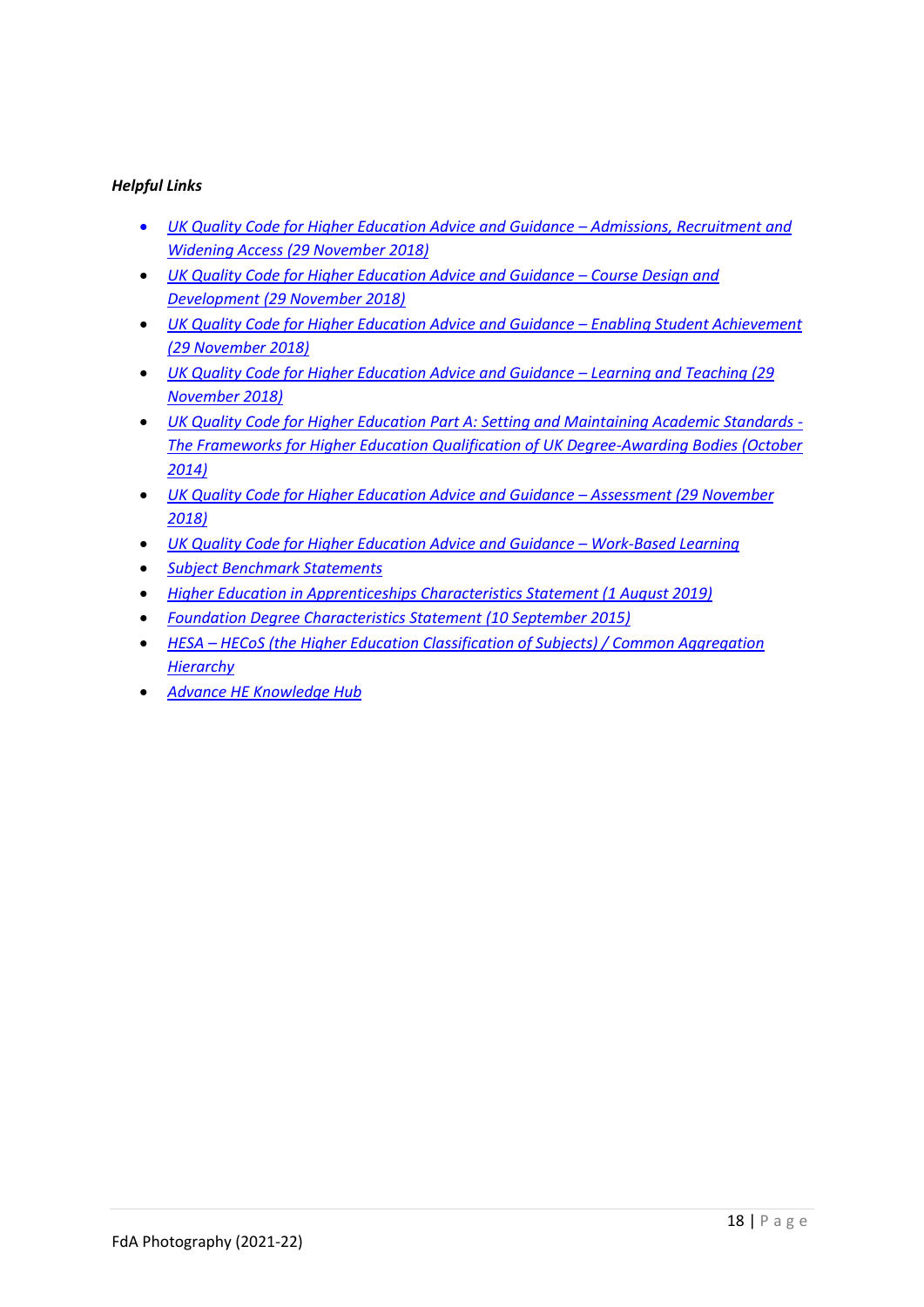#### *Helpful Links*

- *[UK Quality Code for Higher Education Advice and Guidance](https://www.qaa.ac.uk/en/quality-code/advice-and-guidance/admissions-recruitment-and-widening-access) – Admissions, Recruitment and Widening Access [\(29 November 2018\)](https://www.qaa.ac.uk/en/quality-code/advice-and-guidance/admissions-recruitment-and-widening-access)*
- *[UK Quality Code for Higher Education Advice and Guidance](https://www.qaa.ac.uk/en/quality-code/advice-and-guidance/course-design-and-development)  Course Design and [Development \(29 November 2018\)](https://www.qaa.ac.uk/en/quality-code/advice-and-guidance/course-design-and-development)*
- *[UK Quality Code for Higher Education Advice and Guidance](https://www.qaa.ac.uk/en/quality-code/advice-and-guidance/enabling-student-achievement) – Enabling Student Achievement [\(29 November 2018\)](https://www.qaa.ac.uk/en/quality-code/advice-and-guidance/enabling-student-achievement)*
- *[UK Quality Code for Higher Education Advice and Guidance](https://www.qaa.ac.uk/en/quality-code/advice-and-guidance/learning-and-teaching) – Learning and Teaching (29 [November 2018\)](https://www.qaa.ac.uk/en/quality-code/advice-and-guidance/learning-and-teaching)*
- *[UK Quality Code for Higher Education Part A: Setting and Maintaining Academic Standards -](https://www.qaa.ac.uk/docs/qaa/quality-code/qualifications-frameworks.pdfhttps:/www.qaa.ac.uk/docs/qaa/quality-code/qualifications-frameworks.pdf) [The Frameworks for Higher Education Qualification of UK Degree-Awarding Bodies \(October](https://www.qaa.ac.uk/docs/qaa/quality-code/qualifications-frameworks.pdfhttps:/www.qaa.ac.uk/docs/qaa/quality-code/qualifications-frameworks.pdf)  [2014\)](https://www.qaa.ac.uk/docs/qaa/quality-code/qualifications-frameworks.pdfhttps:/www.qaa.ac.uk/docs/qaa/quality-code/qualifications-frameworks.pdf)*
- *[UK Quality Code for Higher Education Advice and Guidance](https://www.qaa.ac.uk/en/quality-code/advice-and-guidance/assessment) – Assessment (29 November [2018\)](https://www.qaa.ac.uk/en/quality-code/advice-and-guidance/assessment)*
- *[UK Quality Code for Higher Education Advice and Guidance](https://www.qaa.ac.uk/en/quality-code/advice-and-guidance/work-based-learning)  Work-Based Learning*
- *[Subject Benchmark Statements](https://www.qaa.ac.uk/en/quality-code/subject-benchmark-statements)*
- *[Higher Education in Apprenticeships Characteristics Statement \(1 August 2019\)](https://www.qaa.ac.uk/quality-code/supporting-resources)*
- *[Foundation Degree Characteristics Statement \(10 September 2015\)](https://www.qaa.ac.uk/quality-code/supporting-resources)*
- *HESA – [HECoS \(the Higher Education Classification of Subjects\) / Common Aggregation](https://www.hesa.ac.uk/innovation/hecos)  [Hierarchy](https://www.hesa.ac.uk/innovation/hecos)*
- *[Advance HE Knowledge Hub](https://www.advance-he.ac.uk/knowledge-hub)*